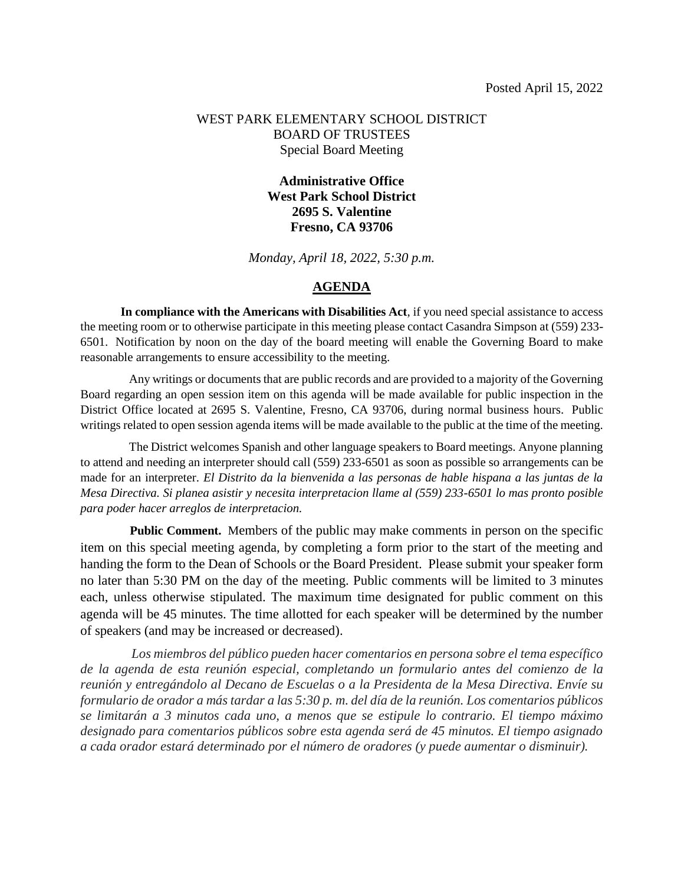#### WEST PARK ELEMENTARY SCHOOL DISTRICT BOARD OF TRUSTEES Special Board Meeting

### **Administrative Office West Park School District 2695 S. Valentine Fresno, CA 93706**

*Monday, April 18, 2022, 5:30 p.m.*

#### **AGENDA**

**In compliance with the Americans with Disabilities Act**, if you need special assistance to access the meeting room or to otherwise participate in this meeting please contact Casandra Simpson at (559) 233- 6501. Notification by noon on the day of the board meeting will enable the Governing Board to make reasonable arrangements to ensure accessibility to the meeting.

Any writings or documents that are public records and are provided to a majority of the Governing Board regarding an open session item on this agenda will be made available for public inspection in the District Office located at 2695 S. Valentine, Fresno, CA 93706, during normal business hours. Public writings related to open session agenda items will be made available to the public at the time of the meeting.

 The District welcomes Spanish and other language speakers to Board meetings. Anyone planning to attend and needing an interpreter should call (559) 233-6501 as soon as possible so arrangements can be made for an interpreter. *El Distrito da la bienvenida a las personas de hable hispana a las juntas de la Mesa Directiva. Si planea asistir y necesita interpretacion llame al (559) 233-6501 lo mas pronto posible para poder hacer arreglos de interpretacion.*

 **Public Comment.** Members of the public may make comments in person on the specific item on this special meeting agenda, by completing a form prior to the start of the meeting and handing the form to the Dean of Schools or the Board President. Please submit your speaker form no later than 5:30 PM on the day of the meeting. Public comments will be limited to 3 minutes each, unless otherwise stipulated. The maximum time designated for public comment on this agenda will be 45 minutes. The time allotted for each speaker will be determined by the number of speakers (and may be increased or decreased).

*Los miembros del público pueden hacer comentarios en persona sobre el tema específico de la agenda de esta reunión especial, completando un formulario antes del comienzo de la reunión y entregándolo al Decano de Escuelas o a la Presidenta de la Mesa Directiva. Envíe su formulario de orador a más tardar a las 5:30 p. m. del día de la reunión. Los comentarios públicos se limitarán a 3 minutos cada uno, a menos que se estipule lo contrario. El tiempo máximo designado para comentarios públicos sobre esta agenda será de 45 minutos. El tiempo asignado a cada orador estará determinado por el número de oradores (y puede aumentar o disminuir).*